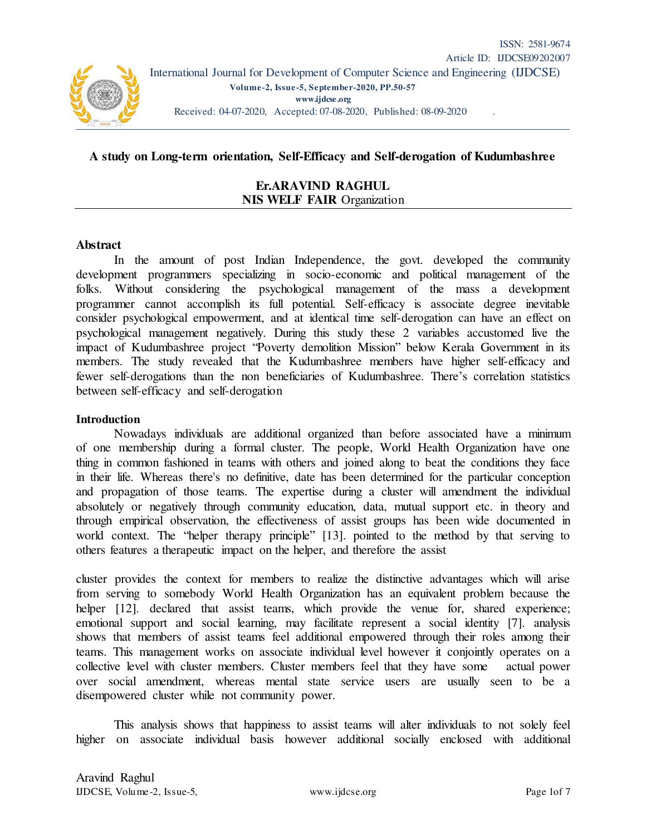

## **A study on Long-term orientation, Self-Efficacy and Self-derogation of Kudumbashree**

**Er.ARAVIND RAGHUL NIS WELF FAIR** Organization

#### **Abstract**

In the amount of post Indian Independence, the govt. developed the community development programmers specializing in socio-economic and political management of the folks. Without considering the psychological management of the mass a development programmer cannot accomplish its full potential. Self-efficacy is associate degree inevitable consider psychological empowerment, and at identical time self-derogation can have an effect on psychological management negatively. During this study these 2 variables accustomed live the impact of Kudumbashree project "Poverty demolition Mission" below Kerala Government in its members. The study revealed that the Kudumbashree members have higher self-efficacy and fewer self-derogations than the non beneficiaries of Kudumbashree. There's correlation statistics between self-efficacy and self-derogation

#### **Introduction**

Nowadays individuals are additional organized than before associated have a minimum of one membership during a formal cluster. The people, World Health Organization have one thing in common fashioned in teams with others and joined along to beat the conditions they face in their life. Whereas there's no definitive, date has been determined for the particular conception and propagation of those teams. The expertise during a cluster will amendment the individual absolutely or negatively through community education, data, mutual support etc. in theory and through empirical observation, the effectiveness of assist groups has been wide documented in world context. The "helper therapy principle" [13]. pointed to the method by that serving to others features a therapeutic impact on the helper, and therefore the assist

cluster provides the context for members to realize the distinctive advantages which will arise from serving to somebody World Health Organization has an equivalent problem because the helper [12]. declared that assist teams, which provide the venue for, shared experience; emotional support and social learning, may facilitate represent a social identity [7]. analysis shows that members of assist teams feel additional empowered through their roles among their teams. This management works on associate individual level however it conjointly operates on a collective level with cluster members. Cluster members feel that they have some actual power over social amendment, whereas mental state service users are usually seen to be a disempowered cluster while not community power.

This analysis shows that happiness to assist teams will alter individuals to not solely feel higher on associate individual basis however additional socially enclosed with additional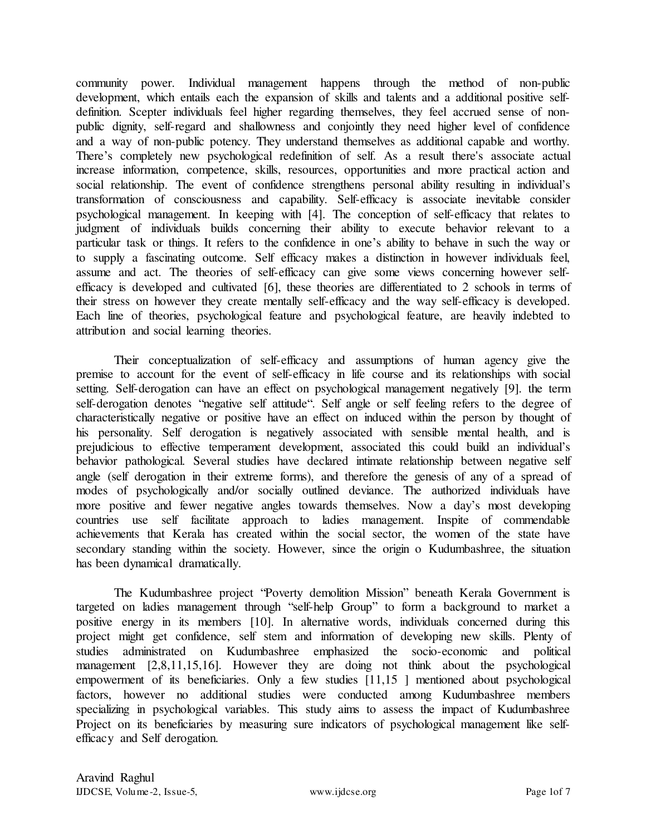community power. Individual management happens through the method of non-public development, which entails each the expansion of skills and talents and a additional positive selfdefinition. Scepter individuals feel higher regarding themselves, they feel accrued sense of nonpublic dignity, self-regard and shallowness and conjointly they need higher level of confidence and a way of non-public potency. They understand themselves as additional capable and worthy. There's completely new psychological redefinition of self. As a result there's associate actual increase information, competence, skills, resources, opportunities and more practical action and social relationship. The event of confidence strengthens personal ability resulting in individual's transformation of consciousness and capability. Self-efficacy is associate inevitable consider psychological management. In keeping with [4]. The conception of self-efficacy that relates to judgment of individuals builds concerning their ability to execute behavior relevant to a particular task or things. It refers to the confidence in one's ability to behave in such the way or to supply a fascinating outcome. Self efficacy makes a distinction in however individuals feel, assume and act. The theories of self-efficacy can give some views concerning however selfefficacy is developed and cultivated [6], these theories are differentiated to 2 schools in terms of their stress on however they create mentally self-efficacy and the way self-efficacy is developed. Each line of theories, psychological feature and psychological feature, are heavily indebted to attribution and social learning theories.

Their conceptualization of self-efficacy and assumptions of human agency give the premise to account for the event of self-efficacy in life course and its relationships with social setting. Self-derogation can have an effect on psychological management negatively [9]. the term self-derogation denotes "negative self attitude". Self angle or self feeling refers to the degree of characteristically negative or positive have an effect on induced within the person by thought of his personality. Self derogation is negatively associated with sensible mental health, and is prejudicious to effective temperament development, associated this could build an individual's behavior pathological. Several studies have declared intimate relationship between negative self angle (self derogation in their extreme forms), and therefore the genesis of any of a spread of modes of psychologically and/or socially outlined deviance. The authorized individuals have more positive and fewer negative angles towards themselves. Now a day's most developing countries use self facilitate approach to ladies management. Inspite of commendable achievements that Kerala has created within the social sector, the women of the state have secondary standing within the society. However, since the origin o Kudumbashree, the situation has been dynamical dramatically.

The Kudumbashree project "Poverty demolition Mission" beneath Kerala Government is targeted on ladies management through "self-help Group" to form a background to market a positive energy in its members [10]. In alternative words, individuals concerned during this project might get confidence, self stem and information of developing new skills. Plenty of studies administrated on Kudumbashree emphasized the socio-economic and political management [2,8,11,15,16]. However they are doing not think about the psychological empowerment of its beneficiaries. Only a few studies [11,15 ] mentioned about psychological factors, however no additional studies were conducted among Kudumbashree members specializing in psychological variables. This study aims to assess the impact of Kudumbashree Project on its beneficiaries by measuring sure indicators of psychological management like selfefficacy and Self derogation.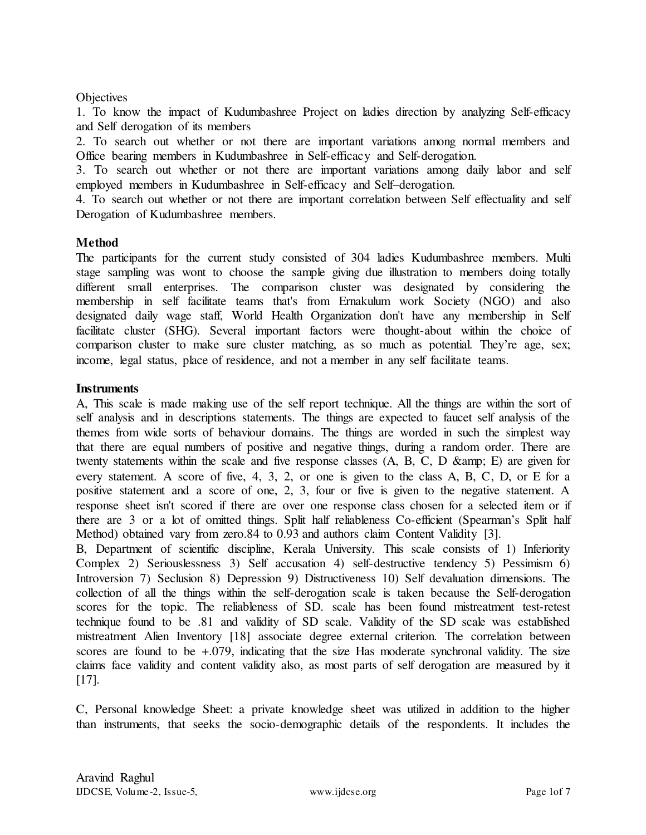# **Objectives**

1. To know the impact of Kudumbashree Project on ladies direction by analyzing Self-efficacy and Self derogation of its members

2. To search out whether or not there are important variations among normal members and Office bearing members in Kudumbashree in Self-efficacy and Self-derogation.

3. To search out whether or not there are important variations among daily labor and self employed members in Kudumbashree in Self-efficacy and Self–derogation.

4. To search out whether or not there are important correlation between Self effectuality and self Derogation of Kudumbashree members.

## **Method**

The participants for the current study consisted of 304 ladies Kudumbashree members. Multi stage sampling was wont to choose the sample giving due illustration to members doing totally different small enterprises. The comparison cluster was designated by considering the membership in self facilitate teams that's from Ernakulum work Society (NGO) and also designated daily wage staff, World Health Organization don't have any membership in Self facilitate cluster (SHG). Several important factors were thought-about within the choice of comparison cluster to make sure cluster matching, as so much as potential. They're age, sex; income, legal status, place of residence, and not a member in any self facilitate teams.

## **Instruments**

A, This scale is made making use of the self report technique. All the things are within the sort of self analysis and in descriptions statements. The things are expected to faucet self analysis of the themes from wide sorts of behaviour domains. The things are worded in such the simplest way that there are equal numbers of positive and negative things, during a random order. There are twenty statements within the scale and five response classes  $(A, B, C, D \& p)$  are given for every statement. A score of five, 4, 3, 2, or one is given to the class A, B, C, D, or E for a positive statement and a score of one, 2, 3, four or five is given to the negative statement. A response sheet isn't scored if there are over one response class chosen for a selected item or if there are 3 or a lot of omitted things. Split half reliableness Co-efficient (Spearman's Split half Method) obtained vary from zero.84 to 0.93 and authors claim Content Validity [3].

B, Department of scientific discipline, Kerala University. This scale consists of 1) Inferiority Complex 2) Seriouslessness 3) Self accusation 4) self-destructive tendency 5) Pessimism 6) Introversion 7) Seclusion 8) Depression 9) Distructiveness 10) Self devaluation dimensions. The collection of all the things within the self-derogation scale is taken because the Self-derogation scores for the topic. The reliableness of SD. scale has been found mistreatment test-retest technique found to be .81 and validity of SD scale. Validity of the SD scale was established mistreatment Alien Inventory [18] associate degree external criterion. The correlation between scores are found to be  $+.079$ , indicating that the size Has moderate synchronal validity. The size claims face validity and content validity also, as most parts of self derogation are measured by it [17].

C, Personal knowledge Sheet: a private knowledge sheet was utilized in addition to the higher than instruments, that seeks the socio-demographic details of the respondents. It includes the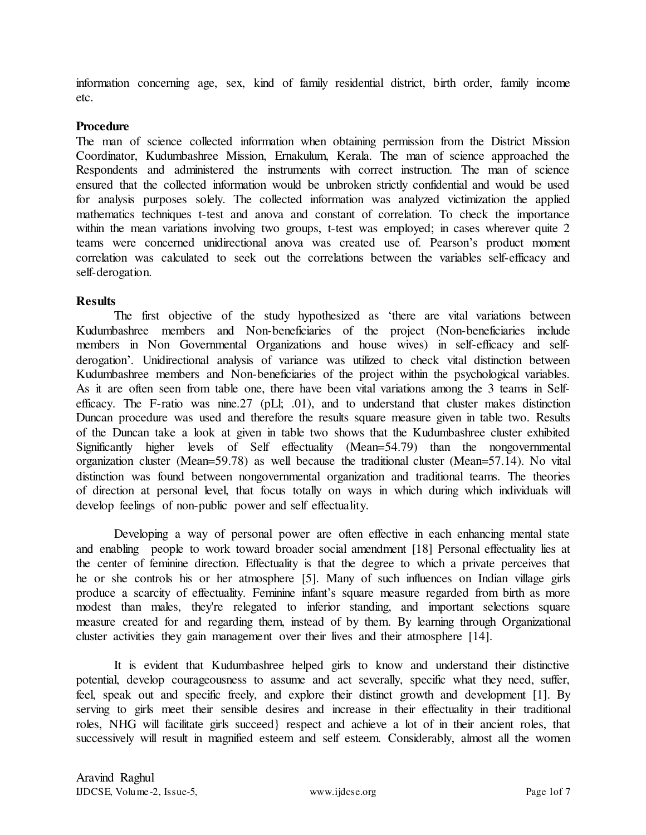information concerning age, sex, kind of family residential district, birth order, family income etc.

#### **Procedure**

The man of science collected information when obtaining permission from the District Mission Coordinator, Kudumbashree Mission, Ernakulum, Kerala. The man of science approached the Respondents and administered the instruments with correct instruction. The man of science ensured that the collected information would be unbroken strictly confidential and would be used for analysis purposes solely. The collected information was analyzed victimization the applied mathematics techniques t-test and anova and constant of correlation. To check the importance within the mean variations involving two groups, t-test was employed; in cases wherever quite 2 teams were concerned unidirectional anova was created use of. Pearson's product moment correlation was calculated to seek out the correlations between the variables self-efficacy and self-derogation.

## **Results**

The first objective of the study hypothesized as 'there are vital variations between Kudumbashree members and Non-beneficiaries of the project (Non-beneficiaries include members in Non Governmental Organizations and house wives) in self-efficacy and selfderogation'. Unidirectional analysis of variance was utilized to check vital distinction between Kudumbashree members and Non-beneficiaries of the project within the psychological variables. As it are often seen from table one, there have been vital variations among the 3 teams in Selfefficacy. The F-ratio was nine.27 (pLl; .01), and to understand that cluster makes distinction Duncan procedure was used and therefore the results square measure given in table two. Results of the Duncan take a look at given in table two shows that the Kudumbashree cluster exhibited Significantly higher levels of Self effectuality (Mean=54.79) than the nongovernmental organization cluster (Mean=59.78) as well because the traditional cluster (Mean=57.14). No vital distinction was found between nongovernmental organization and traditional teams. The theories of direction at personal level, that focus totally on ways in which during which individuals will develop feelings of non-public power and self effectuality.

Developing a way of personal power are often effective in each enhancing mental state and enabling people to work toward broader social amendment [18] Personal effectuality lies at the center of feminine direction. Effectuality is that the degree to which a private perceives that he or she controls his or her atmosphere [5]. Many of such influences on Indian village girls produce a scarcity of effectuality. Feminine infant's square measure regarded from birth as more modest than males, they're relegated to inferior standing, and important selections square measure created for and regarding them, instead of by them. By learning through Organizational cluster activities they gain management over their lives and their atmosphere [14].

It is evident that Kudumbashree helped girls to know and understand their distinctive potential, develop courageousness to assume and act severally, specific what they need, suffer, feel, speak out and specific freely, and explore their distinct growth and development [1]. By serving to girls meet their sensible desires and increase in their effectuality in their traditional roles, NHG will facilitate girls succeed} respect and achieve a lot of in their ancient roles, that successively will result in magnified esteem and self esteem. Considerably, almost all the women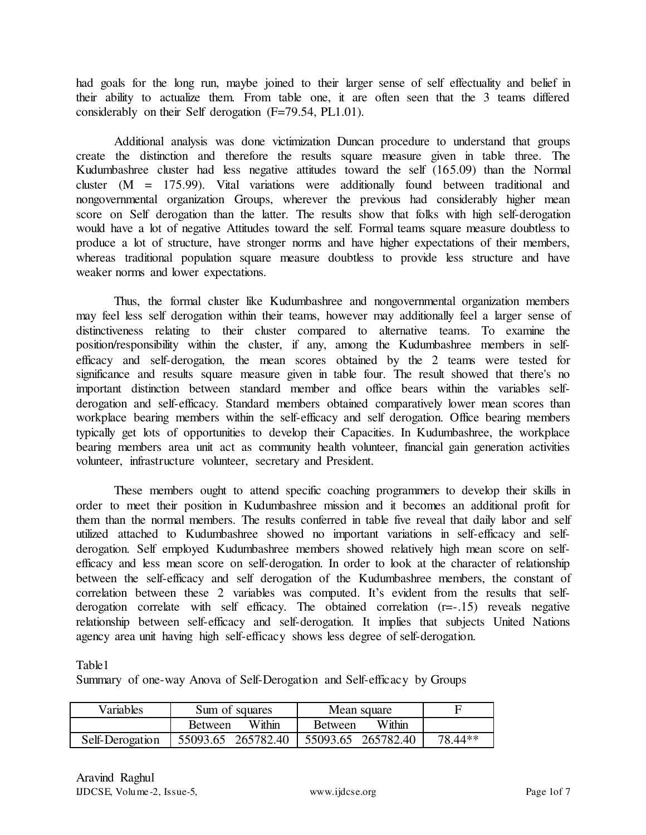had goals for the long run, maybe joined to their larger sense of self effectuality and belief in their ability to actualize them. From table one, it are often seen that the 3 teams differed considerably on their Self derogation (F=79.54, PL1.01).

Additional analysis was done victimization Duncan procedure to understand that groups create the distinction and therefore the results square measure given in table three. The Kudumbashree cluster had less negative attitudes toward the self (165.09) than the Normal cluster (M = 175.99). Vital variations were additionally found between traditional and nongovernmental organization Groups, wherever the previous had considerably higher mean score on Self derogation than the latter. The results show that folks with high self-derogation would have a lot of negative Attitudes toward the self. Formal teams square measure doubtless to produce a lot of structure, have stronger norms and have higher expectations of their members, whereas traditional population square measure doubtless to provide less structure and have weaker norms and lower expectations.

Thus, the formal cluster like Kudumbashree and nongovernmental organization members may feel less self derogation within their teams, however may additionally feel a larger sense of distinctiveness relating to their cluster compared to alternative teams. To examine the position/responsibility within the cluster, if any, among the Kudumbashree members in selfefficacy and self-derogation, the mean scores obtained by the 2 teams were tested for significance and results square measure given in table four. The result showed that there's no important distinction between standard member and office bears within the variables selfderogation and self-efficacy. Standard members obtained comparatively lower mean scores than workplace bearing members within the self-efficacy and self derogation. Office bearing members typically get lots of opportunities to develop their Capacities. In Kudumbashree, the workplace bearing members area unit act as community health volunteer, financial gain generation activities volunteer, infrastructure volunteer, secretary and President.

These members ought to attend specific coaching programmers to develop their skills in order to meet their position in Kudumbashree mission and it becomes an additional profit for them than the normal members. The results conferred in table five reveal that daily labor and self utilized attached to Kudumbashree showed no important variations in self-efficacy and selfderogation. Self employed Kudumbashree members showed relatively high mean score on selfefficacy and less mean score on self-derogation. In order to look at the character of relationship between the self-efficacy and self derogation of the Kudumbashree members, the constant of correlation between these 2 variables was computed. It's evident from the results that selfderogation correlate with self efficacy. The obtained correlation (r=-.15) reveals negative relationship between self-efficacy and self-derogation. It implies that subjects United Nations agency area unit having high self-efficacy shows less degree of self-derogation.

Table1

Summary of one-way Anova of Self-Derogation and Self-efficacy by Groups

| Variables       | Sum of squares                                      |        | Mean square    |        |         |
|-----------------|-----------------------------------------------------|--------|----------------|--------|---------|
|                 | <b>Between</b>                                      | Within | <b>Between</b> | Within |         |
| Self-Derogation | $\mid$ 55093.65 265782.40 $\mid$ 55093.65 265782.40 |        |                |        | 78.44** |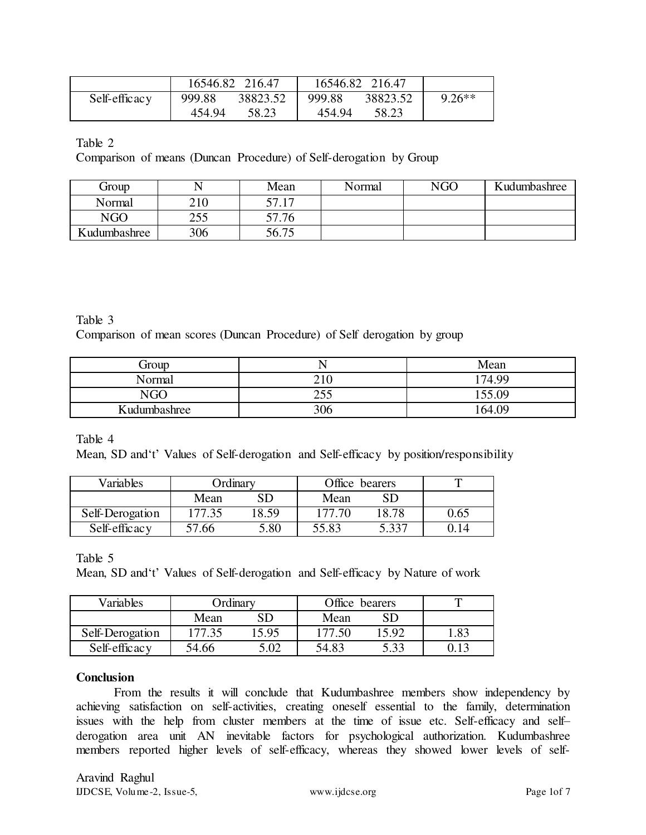|               |        | 16546.82 216.47 |        | 16546.82 216.47 |          |
|---------------|--------|-----------------|--------|-----------------|----------|
| Self-efficacy | 999.88 | 38823.52        | 999.88 | 38823.52        | $9.26**$ |
|               | 454.94 | 58.23           | 454.94 | 58.23           |          |

Table 2

Comparison of means (Duncan Procedure) of Self-derogation by Group

| Group        |     | Mean  | Normal | NGO | Kudumbashree |
|--------------|-----|-------|--------|-----|--------------|
| Normal       | 210 | 57.17 |        |     |              |
| <b>NGO</b>   | 255 | 57.76 |        |     |              |
| Kudumbashree | 306 | 56.75 |        |     |              |

Table 3 Comparison of mean scores (Duncan Procedure) of Self derogation by group

| Group        |                    | Mean   |
|--------------|--------------------|--------|
| Normal       | $^{\sim}$ 1<br>ΖIU | 174.99 |
| NGO          | 255<br>ل ل⊥        | 155 NQ |
| Kudumbashree | 306                | 164.09 |

Table 4

Mean, SD and't' Values of Self-derogation and Self-efficacy by position/responsibility

| Variables       | <b>Ordinary</b> |          | Office bearers |       |      |
|-----------------|-----------------|----------|----------------|-------|------|
|                 | Mean            | SD       | Mean           | SD    |      |
| Self-Derogation | 177.35          | 8.59     | 177.70         | 18.78 | 0.65 |
| Self-efficacy   | 57.66           | $5.80\,$ | 55.83          | 5.337 |      |

Table 5

Mean, SD and't' Values of Self-derogation and Self-efficacy by Nature of work

| Variables       | Ordinary |       | Office bearers |       |     |
|-----------------|----------|-------|----------------|-------|-----|
|                 | Mean     | SD    | Mean           | SD    |     |
| Self-Derogation | 177.35   | 15.95 | 177.50         | 15.92 | .83 |
| Self-efficacy   | 54.66    | 5.02  | 54.83          | 5.33  |     |

## **Conclusion**

From the results it will conclude that Kudumbashree members show independency by achieving satisfaction on self-activities, creating oneself essential to the family, determination issues with the help from cluster members at the time of issue etc. Self-efficacy and self– derogation area unit AN inevitable factors for psychological authorization. Kudumbashree members reported higher levels of self-efficacy, whereas they showed lower levels of self